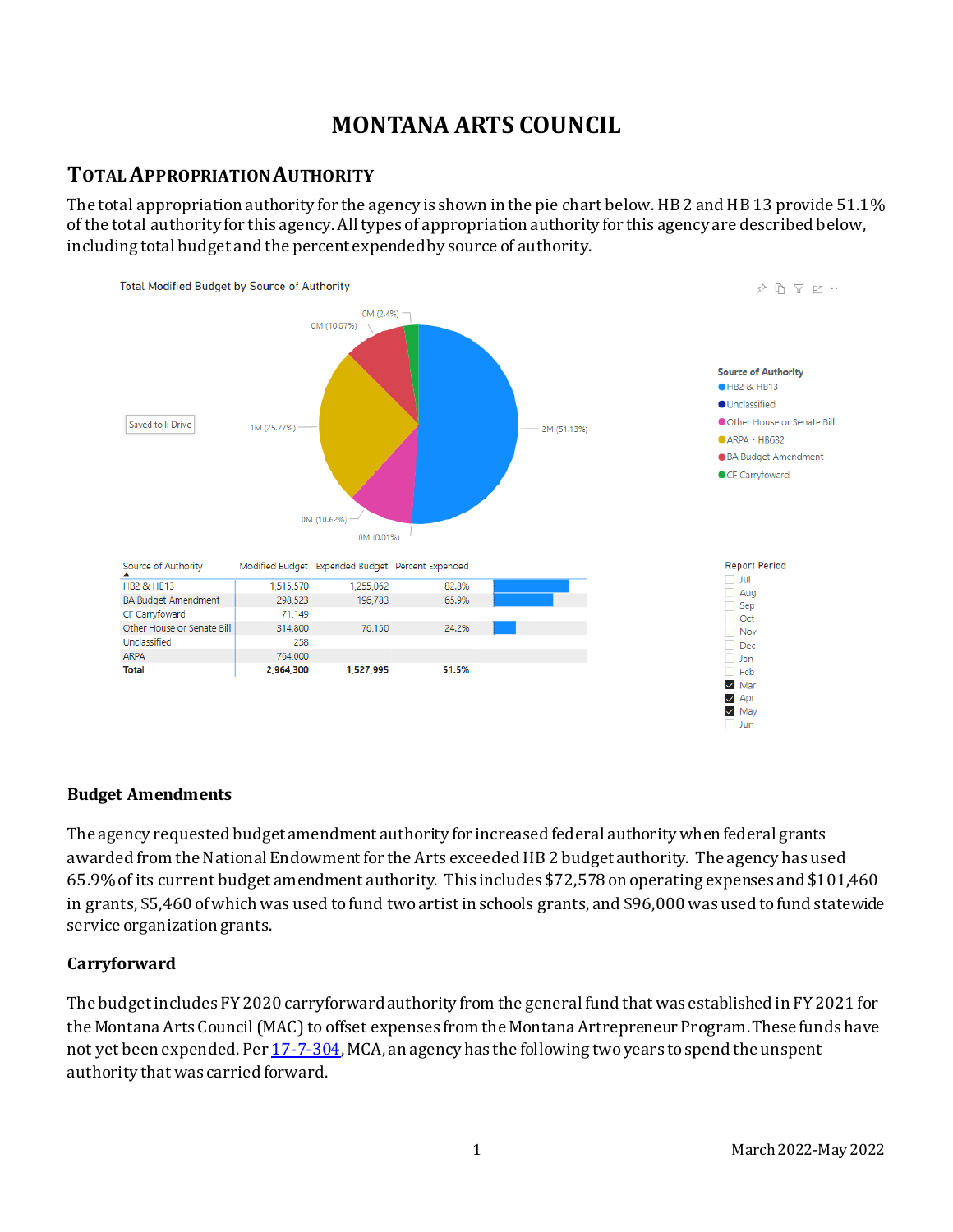# **MONTANA ARTS COUNCIL**

### **TOTAL APPROPRIATION AUTHORITY**

The total appropriation authority for the agency is shown in the pie chart below. HB 2 and HB 13 provide 51.1% of the total authority for this agency. All types of appropriation authority for this agency are described below, including total budget and the percent expended by source of authority.



#### **Budget Amendments**

The agency requested budget amendment authority for increased federal authority when federal grants awarded from the National Endowment for the Arts exceeded HB 2 budget authority. The agency has used 65.9% of its current budget amendment authority. This includes \$72,578 on operating expenses and \$101,460 in grants, \$5,460 of which was used to fund two artist in schools grants, and \$96,000 was used to fund statewide service organization grants.

### **Carryforward**

The budget includes FY 2020 carryforward authority from the general fund that was established in FY 2021 for the Montana Arts Council (MAC) to offset expenses from the Montana Artrepreneur Program. These funds have not yet been expended. Pe[r 17-7-304](https://leg.mt.gov/bills/2009/mca/17/7/17-7-304.htm), MCA, an agency has the following two years to spend the unspent authority that was carried forward.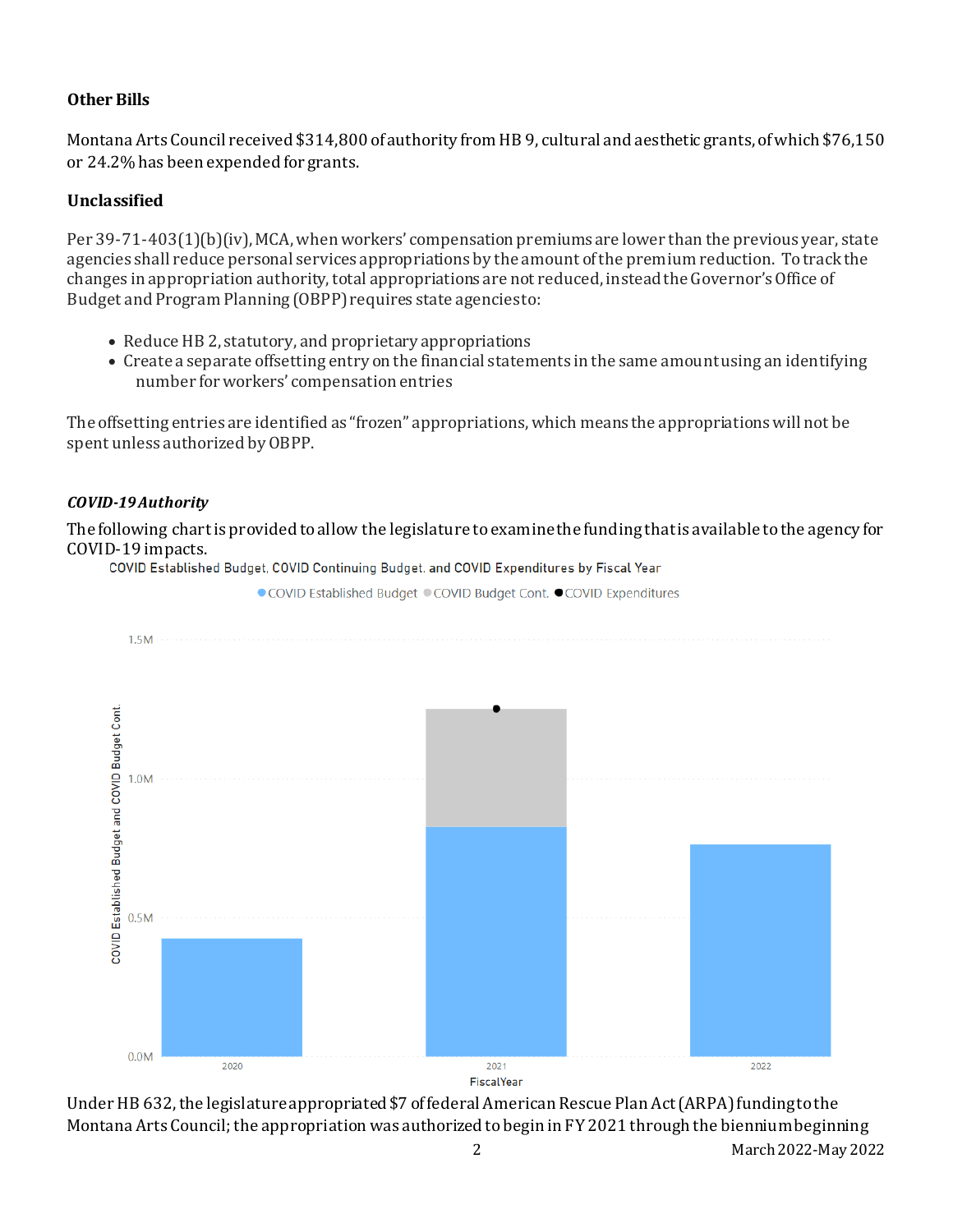#### **Other Bills**

Montana Arts Council received \$314,800 of authority from HB 9, cultural and aesthetic grants, of which \$76,150 or 24.2% has been expended for grants.

#### **Unclassified**

Per 39-71-403(1)(b)(iv), MCA, when workers' compensation premiums are lower than the previous year, state agencies shall reduce personal services appropriations by the amount of the premium reduction. To track the changes in appropriation authority, total appropriations are not reduced, instead the Governor's Office of Budget and Program Planning (OBPP) requires state agencies to:

- Reduce HB 2, statutory, and proprietary appropriations
- Create a separate offsetting entry on the financial statements in the same amount using an identifying number for workers' compensation entries

The offsetting entries are identified as "frozen" appropriations, which means the appropriations will not be spent unless authorized by OBPP.

#### *COVID-19 Authority*

The following chart is provided to allow the legislature to examine the funding that is available to the agency for COVID-19 impacts.

● COVID Established Budget ● COVID Budget Cont. ● COVID Expenditures



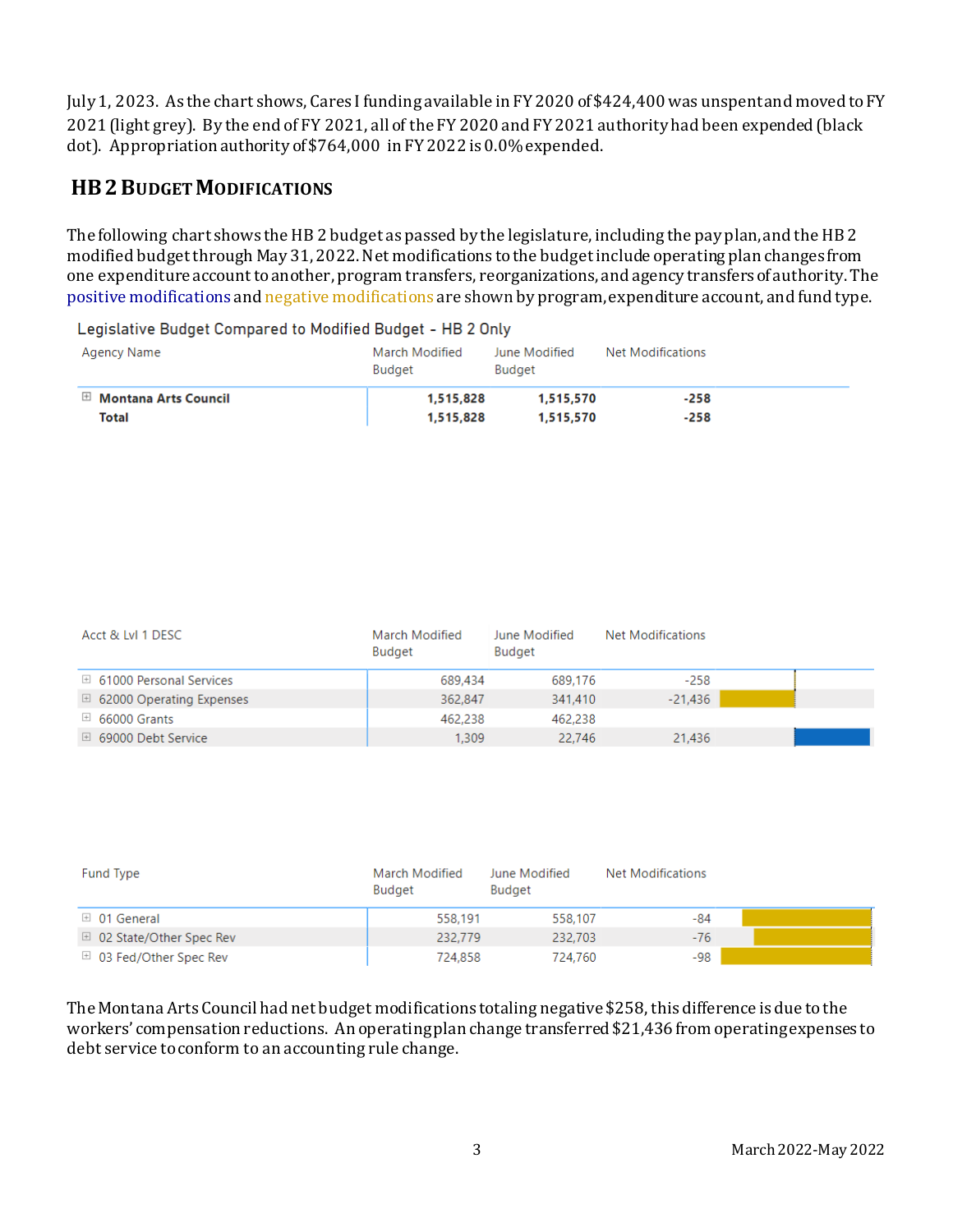July 1, 2023. As the chart shows, Cares I funding available in FY 2020 of \$424,400 was unspent and moved to FY 2021 (light grey). By the end of FY 2021, all of the FY 2020 and FY 2021 authority had been expended (black dot). Appropriation authority of\$764,000 in FY 2022 is 0.0% expended.

# **HB2 BUDGET MODIFICATIONS**

The following chart shows the HB 2 budget as passed by the legislature, including the pay plan, and the HB 2 modified budgetthrough May 31, 2022. Net modifications to the budget include operating plan changes from one expenditure account to another, program transfers, reorganizations, and agency transfers of authority. The positive modifications and negative modifications are shown by program, expenditure account, and fund type.

Legislative Budget Compared to Modified Budget - HB 2 Only

| Agency Name                     | March Modified<br><b>Budget</b> | June Modified<br>Budget | Net Modifications |
|---------------------------------|---------------------------------|-------------------------|-------------------|
| $\boxplus$ Montana Arts Council | 1.515.828                       | 1.515.570               | $-258$            |
| Total                           | 1,515,828                       | 1,515,570               | $-258$            |

| Acct & LvI 1 DESC                   | March Modified<br>Budget | June Modified<br>Budget | Net Modifications |  |
|-------------------------------------|--------------------------|-------------------------|-------------------|--|
| $\boxplus$ 61000 Personal Services  | 689,434                  | 689.176                 | $-258$            |  |
| $\boxplus$ 62000 Operating Expenses | 362,847                  | 341,410                 | $-21,436$         |  |
| $\boxplus$ 66000 Grants             | 462,238                  | 462,238                 |                   |  |
| $\boxplus$ 69000 Debt Service       | 1,309                    | 22,746                  | 21,436            |  |

| Fund Type                          | March Modified<br><b>Budget</b> | June Modified<br><b>Budget</b> | Net Modifications |  |
|------------------------------------|---------------------------------|--------------------------------|-------------------|--|
| $\boxplus$ 01 General              | 558.191                         | 558.107                        | $-84$             |  |
| $\boxplus$ 02 State/Other Spec Rev | 232,779                         | 232,703                        | $-76$             |  |
| $\boxplus$ 03 Fed/Other Spec Rev   | 724.858                         | 724.760                        | $-98$             |  |

The Montana Arts Council had net budget modifications totaling negative \$258, this difference is due to the workers' compensation reductions. An operatingplan change transferred \$21,436 from operating expenses to debt service to conform to an accounting rule change.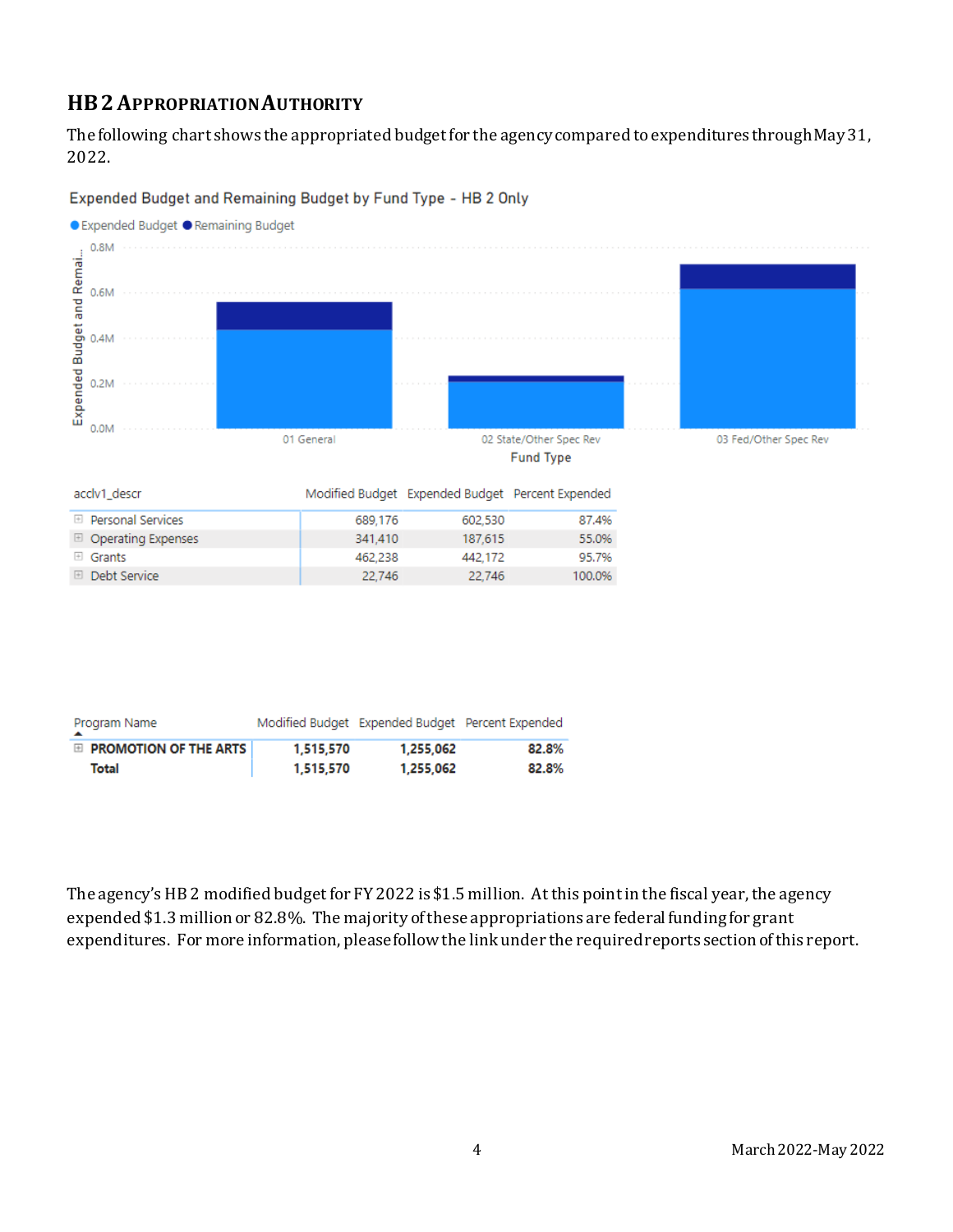# **HB2APPROPRIATION AUTHORITY**

Expended Budget and Remai...

The following chart shows the appropriated budget for the agency compared to expenditures through May 31, 2022.

● Expended Budget ● Remaining Budget  $0.8M$  $0.6M$  $0.4M$  $0.2M$ 0.0M 01 General 02 State/Other Spec Rev 03 Fed/Other Spec Rev **Fund Type** acclv1\_descr Modified Budget Expended Budget Percent Expended

Expended Budget and Remaining Budget by Fund Type - HB 2 Only

| ------------              |         | indumed padget - experimed padget - i creem experimed |        |
|---------------------------|---------|-------------------------------------------------------|--------|
| ⊞ Personal Services       | 689.176 | 602,530                                               | 87.4%  |
| $\Box$ Operating Expenses | 341.410 | 187.615                                               | 55,0%  |
| $\boxplus$ Grants         | 462.238 | 442.172                                               | 95.7%  |
| <b>El Debt Service</b>    | 22.746  | 22.746                                                | 100.0% |
|                           |         |                                                       |        |

| Program Name                 |           |           | Modified Budget Expended Budget Percent Expended |
|------------------------------|-----------|-----------|--------------------------------------------------|
| $\Box$ PROMOTION OF THE ARTS | 1,515,570 | 1.255.062 | 82.8%                                            |
| Total                        | 1,515,570 | 1,255,062 | 82.8%                                            |

The agency's HB 2 modified budget for FY 2022 is \$1.5 million. At this point in the fiscal year, the agency expended \$1.3 million or 82.8%. The majority of these appropriations are federal funding for grant expenditures. For more information, please follow the link under the required reports section of this report.